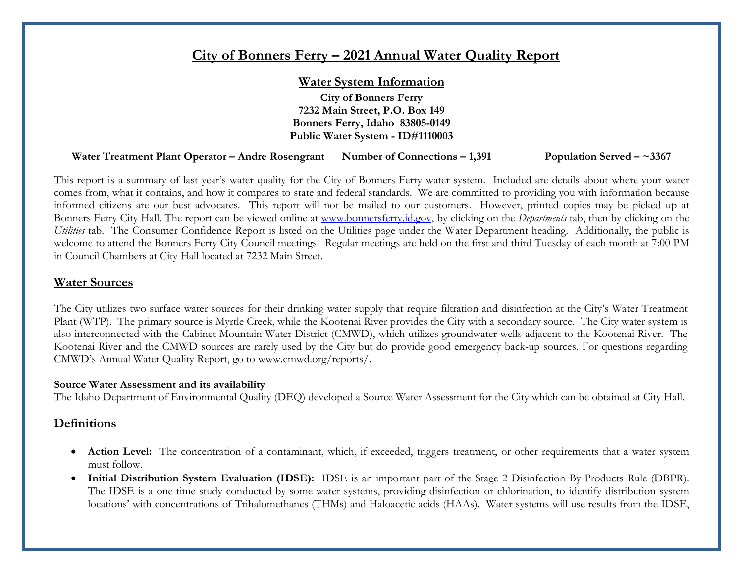# **City of Bonners Ferry – 2021 Annual Water Quality Report**

#### **Water System Information**

**City of Bonners Ferry 7232 Main Street, P.O. Box 149 Bonners Ferry, Idaho 83805-0149 Public Water System - ID#1110003**

#### **Water Treatment Plant Operator – Andre Rosengrant Number of Connections – 1,391 Population Served – ~3367**

This report is a summary of last year's water quality for the City of Bonners Ferry water system. Included are details about where your water comes from, what it contains, and how it compares to state and federal standards. We are committed to providing you with information because informed citizens are our best advocates. This report will not be mailed to our customers. However, printed copies may be picked up at Bonners Ferry City Hall. The report can be viewed online at [www.bonnersferry.id.gov,](http://www.bonnersferry.id.gov/) by clicking on the *Departments* tab, then by clicking on the *Utilities* tab. The Consumer Confidence Report is listed on the Utilities page under the Water Department heading. Additionally, the public is welcome to attend the Bonners Ferry City Council meetings. Regular meetings are held on the first and third Tuesday of each month at 7:00 PM in Council Chambers at City Hall located at 7232 Main Street.

#### **Water Sources**

The City utilizes two surface water sources for their drinking water supply that require filtration and disinfection at the City's Water Treatment Plant (WTP). The primary source is Myrtle Creek, while the Kootenai River provides the City with a secondary source. The City water system is also interconnected with the Cabinet Mountain Water District (CMWD), which utilizes groundwater wells adjacent to the Kootenai River. The Kootenai River and the CMWD sources are rarely used by the City but do provide good emergency back-up sources. For questions regarding CMWD's Annual Water Quality Report, go to www.cmwd.org/reports/.

#### **Source Water Assessment and its availability**

The Idaho Department of Environmental Quality (DEQ) developed a Source Water Assessment for the City which can be obtained at City Hall.

#### **Definitions**

- **Action Level:** The concentration of a contaminant, which, if exceeded, triggers treatment, or other requirements that a water system must follow.
- **Initial Distribution System Evaluation (IDSE):** IDSE is an important part of the Stage 2 Disinfection By-Products Rule (DBPR). The IDSE is a one-time study conducted by some water systems, providing disinfection or chlorination, to identify distribution system locations' with concentrations of Trihalomethanes (THMs) and Haloacetic acids (HAAs). Water systems will use results from the IDSE,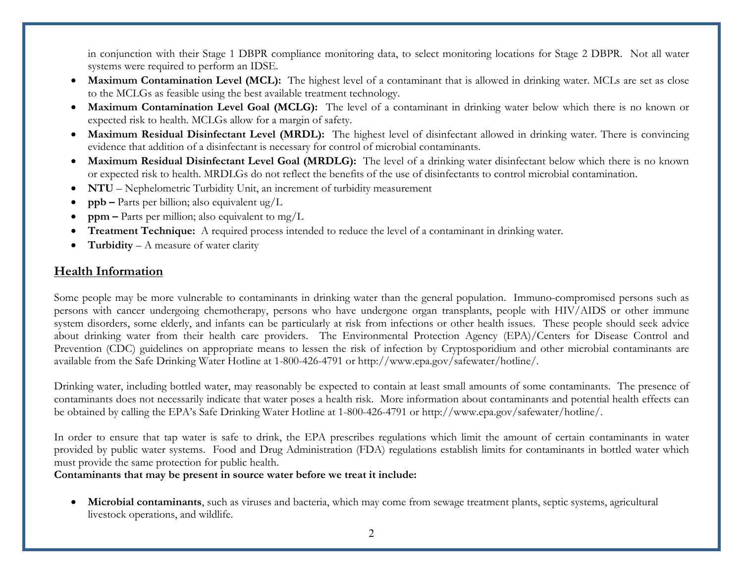in conjunction with their Stage 1 DBPR compliance monitoring data, to select monitoring locations for Stage 2 DBPR. Not all water systems were required to perform an IDSE.

- **Maximum Contamination Level (MCL):** The highest level of a contaminant that is allowed in drinking water. MCLs are set as close to the MCLGs as feasible using the best available treatment technology.
- **Maximum Contamination Level Goal (MCLG):** The level of a contaminant in drinking water below which there is no known or expected risk to health. MCLGs allow for a margin of safety.
- **Maximum Residual Disinfectant Level (MRDL):** The highest level of disinfectant allowed in drinking water. There is convincing evidence that addition of a disinfectant is necessary for control of microbial contaminants.
- **Maximum Residual Disinfectant Level Goal (MRDLG):** The level of a drinking water disinfectant below which there is no known or expected risk to health. MRDLGs do not reflect the benefits of the use of disinfectants to control microbial contamination.
- **NTU** Nephelometric Turbidity Unit, an increment of turbidity measurement
- **ppb –** Parts per billion; also equivalent ug/L
- **ppm –** Parts per million; also equivalent to mg/L
- **Treatment Technique:** A required process intended to reduce the level of a contaminant in drinking water.
- **Turbidity** A measure of water clarity

### **Health Information**

Some people may be more vulnerable to contaminants in drinking water than the general population. Immuno-compromised persons such as persons with cancer undergoing chemotherapy, persons who have undergone organ transplants, people with HIV/AIDS or other immune system disorders, some elderly, and infants can be particularly at risk from infections or other health issues. These people should seek advice about drinking water from their health care providers. The Environmental Protection Agency (EPA)/Centers for Disease Control and Prevention (CDC) guidelines on appropriate means to lessen the risk of infection by Cryptosporidium and other microbial contaminants are available from the Safe Drinking Water Hotline at 1-800-426-4791 or http://www.epa.gov/safewater/hotline/.

Drinking water, including bottled water, may reasonably be expected to contain at least small amounts of some contaminants. The presence of contaminants does not necessarily indicate that water poses a health risk. More information about contaminants and potential health effects can be obtained by calling the EPA's Safe Drinking Water Hotline at 1-800-426-4791 or [http://www.epa.gov/safewater/hotline/.](http://www.epa.gov/safewater/hotline/)

In order to ensure that tap water is safe to drink, the EPA prescribes regulations which limit the amount of certain contaminants in water provided by public water systems. Food and Drug Administration (FDA) regulations establish limits for contaminants in bottled water which must provide the same protection for public health.

**Contaminants that may be present in source water before we treat it include:**

• **Microbial contaminants**, such as viruses and bacteria, which may come from sewage treatment plants, septic systems, agricultural livestock operations, and wildlife.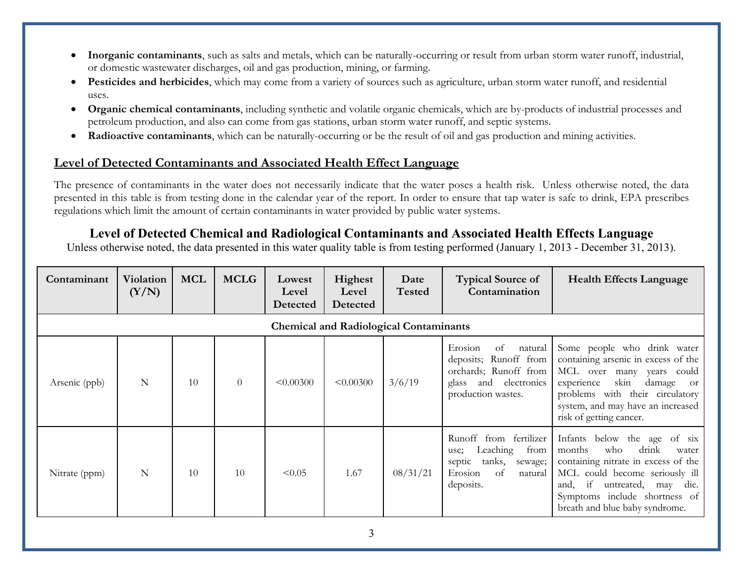- **Inorganic contaminants**, such as salts and metals, which can be naturally-occurring or result from urban storm water runoff, industrial, or domestic wastewater discharges, oil and gas production, mining, or farming.
- **Pesticides and herbicides**, which may come from a variety of sources such as agriculture, urban storm water runoff, and residential uses.
- **Organic chemical contaminants**, including synthetic and volatile organic chemicals, which are by-products of industrial processes and petroleum production, and also can come from gas stations, urban storm water runoff, and septic systems.
- **Radioactive contaminants**, which can be naturally-occurring or be the result of oil and gas production and mining activities.

### **Level of Detected Contaminants and Associated Health Effect Language**

The presence of contaminants in the water does not necessarily indicate that the water poses a health risk. Unless otherwise noted, the data presented in this table is from testing done in the calendar year of the report. In order to ensure that tap water is safe to drink, EPA prescribes regulations which limit the amount of certain contaminants in water provided by public water systems.

## **Level of Detected Chemical and Radiological Contaminants and Associated Health Effects Language**

Unless otherwise noted, the data presented in this water quality table is from testing performed (January 1, 2013 - December 31, 2013).

| Contaminant                                   | <b>Violation</b><br>(Y/N) | <b>MCL</b> | <b>MCLG</b> | Lowest<br>Level<br>Detected | Highest<br>Level<br>Detected | Date<br><b>Tested</b> | <b>Typical Source of</b><br>Contamination                                                                                        | <b>Health Effects Language</b>                                                                                                                                                                                                                      |  |
|-----------------------------------------------|---------------------------|------------|-------------|-----------------------------|------------------------------|-----------------------|----------------------------------------------------------------------------------------------------------------------------------|-----------------------------------------------------------------------------------------------------------------------------------------------------------------------------------------------------------------------------------------------------|--|
| <b>Chemical and Radiological Contaminants</b> |                           |            |             |                             |                              |                       |                                                                                                                                  |                                                                                                                                                                                                                                                     |  |
| Arsenic (ppb)                                 | N                         | 10         | $\theta$    | < 0.00300                   | < 0.00300                    | 3/6/19                | Erosion<br>natural<br>οt<br>deposits; Runoff from<br>orchards; Runoff from<br>glass and electronics<br>production wastes.        | Some people who drink water<br>containing arsenic in excess of the<br>MCL over many<br>years could<br>skin<br>damage<br>experience<br><b>or</b><br>problems with their circulatory<br>system, and may have an increased<br>risk of getting cancer.  |  |
| Nitrate (ppm)                                 | N                         | 10         | 10          | < 0.05                      | 1.67                         | 08/31/21              | fertilizer<br>Runoff<br>from<br>Leaching<br>from<br>use;<br>tanks,<br>septic<br>sewage;<br>of<br>Erosion<br>natural<br>deposits. | Infants below the age of six<br>drink<br>months<br>who<br>water<br>containing nitrate in excess of the<br>MCL could become seriously ill<br>and, if<br>untreated,<br>die.<br>may<br>Symptoms include shortness of<br>breath and blue baby syndrome. |  |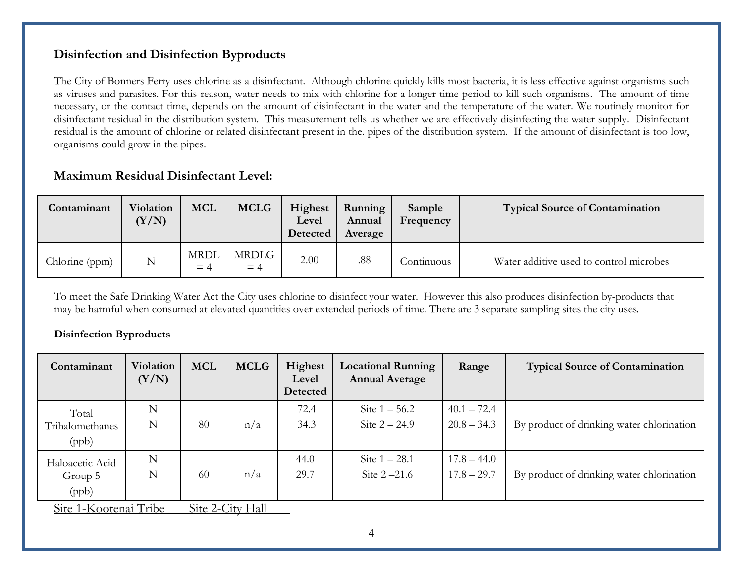### **Disinfection and Disinfection Byproducts**

The City of Bonners Ferry uses chlorine as a disinfectant. Although chlorine quickly kills most bacteria, it is less effective against organisms such as viruses and parasites. For this reason, water needs to mix with chlorine for a longer time period to kill such organisms. The amount of time necessary, or the contact time, depends on the amount of disinfectant in the water and the temperature of the water. We routinely monitor for disinfectant residual in the distribution system. This measurement tells us whether we are effectively disinfecting the water supply. Disinfectant residual is the amount of chlorine or related disinfectant present in the. pipes of the distribution system. If the amount of disinfectant is too low, organisms could grow in the pipes.

### **Maximum Residual Disinfectant Level:**

| Contaminant    | Violation<br>(Y/N) | <b>MCL</b>           | <b>MCLG</b>   | Highest<br>Level<br>Detected | Running<br>Annual<br>Average | Sample<br>Frequency | <b>Typical Source of Contamination</b>  |
|----------------|--------------------|----------------------|---------------|------------------------------|------------------------------|---------------------|-----------------------------------------|
| Chlorine (ppm) | N                  | <b>MRDL</b><br>$= 4$ | MRDLG<br>$=4$ | 2.00                         | .88                          | Continuous          | Water additive used to control microbes |

To meet the Safe Drinking Water Act the City uses chlorine to disinfect your water. However this also produces disinfection by-products that may be harmful when consumed at elevated quantities over extended periods of time. There are 3 separate sampling sites the city uses.

#### **Disinfection Byproducts**

| Contaminant                                                                                  | Violation<br>(Y/N) | <b>MCL</b> | <b>MCLG</b>                                         | Highest<br>Level<br>Detected | <b>Locational Running</b><br><b>Annual Average</b> | Range                          | <b>Typical Source of Contamination</b>    |
|----------------------------------------------------------------------------------------------|--------------------|------------|-----------------------------------------------------|------------------------------|----------------------------------------------------|--------------------------------|-------------------------------------------|
| Total<br>Trihalomethanes<br>(ppb)                                                            | N<br>N             | 80         | n/a                                                 | 72.4<br>34.3                 | Site $1 - 56.2$<br>Site $2 - 24.9$                 | $40.1 - 72.4$<br>$20.8 - 34.3$ | By product of drinking water chlorination |
| Haloacetic Acid<br>Group 5<br>(ppb)<br>$C_{\text{to}}$ 1 $V_{\text{co}}$ tone $T_{\text{w}}$ | N<br>N             | 60         | n/a<br>$C_{\text{to}} \Omega C_{\text{tot}}$ L[all] | 44.0<br>29.7                 | Site $1 - 28.1$<br>Site $2 - 21.6$                 | $17.8 - 44.0$<br>$17.8 - 29.7$ | By product of drinking water chlorination |

Site 1-Kootenai Tribe Site 2-City Hall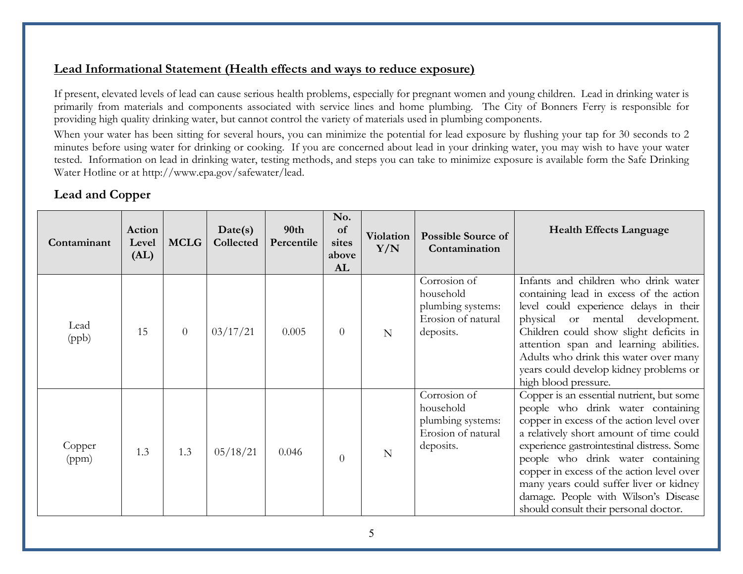## **Lead Informational Statement (Health effects and ways to reduce exposure)**

If present, elevated levels of lead can cause serious health problems, especially for pregnant women and young children. Lead in drinking water is primarily from materials and components associated with service lines and home plumbing. The City of Bonners Ferry is responsible for providing high quality drinking water, but cannot control the variety of materials used in plumbing components.

When your water has been sitting for several hours, you can minimize the potential for lead exposure by flushing your tap for 30 seconds to 2 minutes before using water for drinking or cooking. If you are concerned about lead in your drinking water, you may wish to have your water tested. Information on lead in drinking water, testing methods, and steps you can take to minimize exposure is available form the Safe Drinking Water Hotline or at [http://www.epa.gov/safewater/lead.](http://www.epa.gov/safewater/lead)

# **Lead and Copper**

| Contaminant     | Action<br>Level<br>(AL) | <b>MCLG</b>    | Date(s)<br>Collected | 90th<br>Percentile | No.<br>of<br>sites<br>above<br>AL | Violation<br>Y/N | <b>Possible Source of</b><br>Contamination                                        | <b>Health Effects Language</b>                                                                                                                                                                                                                                                                                                                                                                                                     |
|-----------------|-------------------------|----------------|----------------------|--------------------|-----------------------------------|------------------|-----------------------------------------------------------------------------------|------------------------------------------------------------------------------------------------------------------------------------------------------------------------------------------------------------------------------------------------------------------------------------------------------------------------------------------------------------------------------------------------------------------------------------|
| Lead<br>(ppb)   | 15                      | $\overline{0}$ | 03/17/21             | 0.005              | $\overline{0}$                    | N                | Corrosion of<br>household<br>plumbing systems:<br>Erosion of natural<br>deposits. | Infants and children who drink water<br>containing lead in excess of the action<br>level could experience delays in their<br>physical or mental development.<br>Children could show slight deficits in<br>attention span and learning abilities.<br>Adults who drink this water over many<br>years could develop kidney problems or<br>high blood pressure.                                                                        |
| Copper<br>(ppm) | 1.3                     | 1.3            | 05/18/21             | 0.046              | $\theta$                          | N                | Corrosion of<br>household<br>plumbing systems:<br>Erosion of natural<br>deposits. | Copper is an essential nutrient, but some<br>people who drink water containing<br>copper in excess of the action level over<br>a relatively short amount of time could<br>experience gastrointestinal distress. Some<br>people who drink water containing<br>copper in excess of the action level over<br>many years could suffer liver or kidney<br>damage. People with Wilson's Disease<br>should consult their personal doctor. |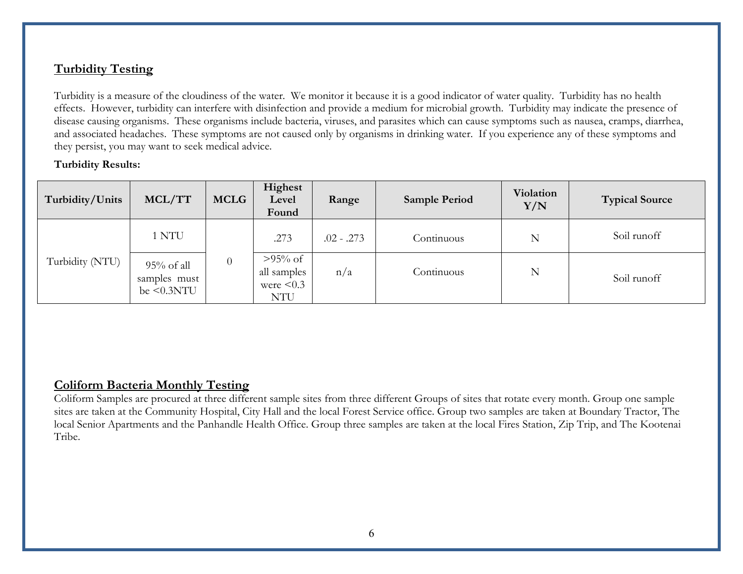# **Turbidity Testing**

Turbidity is a measure of the cloudiness of the water. We monitor it because it is a good indicator of water quality. Turbidity has no health effects. However, turbidity can interfere with disinfection and provide a medium for microbial growth. Turbidity may indicate the presence of disease causing organisms. These organisms include bacteria, viruses, and parasites which can cause symptoms such as nausea, cramps, diarrhea, and associated headaches. These symptoms are not caused only by organisms in drinking water. If you experience any of these symptoms and they persist, you may want to seek medical advice.

#### **Turbidity Results:**

| Turbidity/Units | MCL/TT                                             | <b>MCLG</b> | Highest<br>Level<br>Found                                  | Range        | <b>Sample Period</b> | Violation<br>Y/N | <b>Typical Source</b> |
|-----------------|----------------------------------------------------|-------------|------------------------------------------------------------|--------------|----------------------|------------------|-----------------------|
|                 | 1 NTU                                              |             | .273                                                       | $.02 - .273$ | Continuous           | N                | Soil runoff           |
| Turbidity (NTU) | $95\%$ of all<br>samples must<br>be $\leq 0.3$ NTU | $\theta$    | $>95\%$ of<br>all samples<br>were $\leq 0.3$<br><b>NTU</b> | n/a          | Continuous           | N                | Soil runoff           |

### **Coliform Bacteria Monthly Testing**

Coliform Samples are procured at three different sample sites from three different Groups of sites that rotate every month. Group one sample sites are taken at the Community Hospital, City Hall and the local Forest Service office. Group two samples are taken at Boundary Tractor, The local Senior Apartments and the Panhandle Health Office. Group three samples are taken at the local Fires Station, Zip Trip, and The Kootenai Tribe.